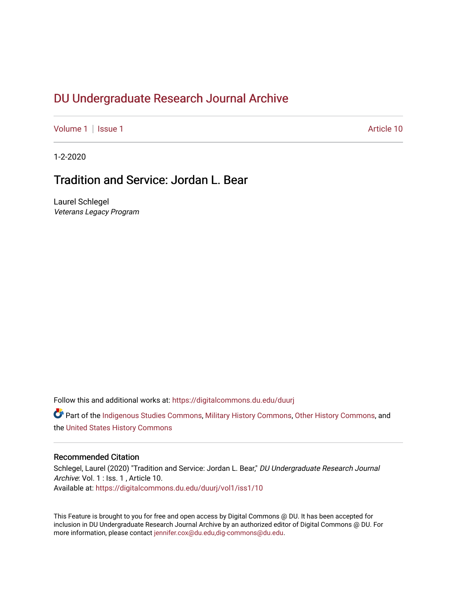# DU Undergr[aduate Research Journal Ar](https://digitalcommons.du.edu/duurj)chive

[Volume 1](https://digitalcommons.du.edu/duurj/vol1) | [Issue 1](https://digitalcommons.du.edu/duurj/vol1/iss1) Article 10

1-2-2020

# Tradition and Service: Jordan L. Bear

Laurel Schlegel Veterans Legacy Program

Follow this and additional works at: [https://digitalcommons.du.edu/duurj](https://digitalcommons.du.edu/duurj?utm_source=digitalcommons.du.edu%2Fduurj%2Fvol1%2Fiss1%2F10&utm_medium=PDF&utm_campaign=PDFCoverPages) 

Part of the [Indigenous Studies Commons,](http://network.bepress.com/hgg/discipline/571?utm_source=digitalcommons.du.edu%2Fduurj%2Fvol1%2Fiss1%2F10&utm_medium=PDF&utm_campaign=PDFCoverPages) [Military History Commons,](http://network.bepress.com/hgg/discipline/504?utm_source=digitalcommons.du.edu%2Fduurj%2Fvol1%2Fiss1%2F10&utm_medium=PDF&utm_campaign=PDFCoverPages) [Other History Commons](http://network.bepress.com/hgg/discipline/508?utm_source=digitalcommons.du.edu%2Fduurj%2Fvol1%2Fiss1%2F10&utm_medium=PDF&utm_campaign=PDFCoverPages), and the [United States History Commons](http://network.bepress.com/hgg/discipline/495?utm_source=digitalcommons.du.edu%2Fduurj%2Fvol1%2Fiss1%2F10&utm_medium=PDF&utm_campaign=PDFCoverPages) 

#### Recommended Citation

Schlegel, Laurel (2020) "Tradition and Service: Jordan L. Bear," DU Undergraduate Research Journal Archive: Vol. 1 : Iss. 1, Article 10. Available at: [https://digitalcommons.du.edu/duurj/vol1/iss1/10](https://digitalcommons.du.edu/duurj/vol1/iss1/10?utm_source=digitalcommons.du.edu%2Fduurj%2Fvol1%2Fiss1%2F10&utm_medium=PDF&utm_campaign=PDFCoverPages) 

This Feature is brought to you for free and open access by Digital Commons @ DU. It has been accepted for inclusion in DU Undergraduate Research Journal Archive by an authorized editor of Digital Commons @ DU. For more information, please contact [jennifer.cox@du.edu,dig-commons@du.edu.](mailto:jennifer.cox@du.edu,dig-commons@du.edu)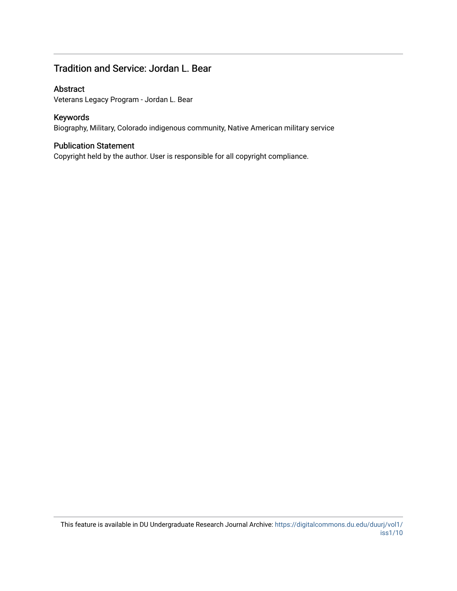## Tradition and Service: Jordan L. Bear

## Abstract

Veterans Legacy Program - Jordan L. Bear

## Keywords

Biography, Military, Colorado indigenous community, Native American military service

#### Publication Statement

Copyright held by the author. User is responsible for all copyright compliance.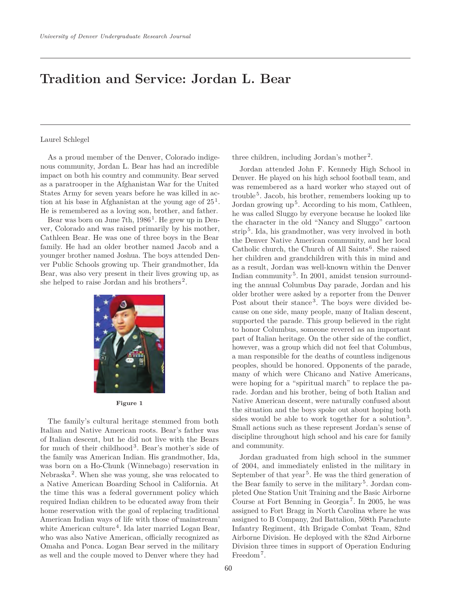# **Tradition and Service: Jordan L. Bear**

#### Laurel Schlegel

As a proud member of the Denver, Colorado indigenous community, Jordan L. Bear has had an incredible impact on both his country and community. Bear served as a paratrooper in the Afghanistan War for the United States Army for seven years before he was killed in action at his base in Afghanistan at the young age of  $25<sup>1</sup>$ . He is remembered as a loving son, brother, and father.

Bear was born on June 7th,  $1986<sup>1</sup>$ . He grew up in Denver, Colorado and was raised primarily by his mother, Cathleen Bear. He was one of three boys in the Bear family. He had an older brother named Jacob and a younger brother named Joshua. The boys attended Denver Public Schools growing up. Their grandmother, Ida Bear, was also very present in their lives growing up, as she helped to raise Jordan and his brothers<sup>2</sup>.



**Figure 1**

The family's cultural heritage stemmed from both Italian and Native American roots. Bear's father was of Italian descent, but he did not live with the Bears for much of their childhood<sup>3</sup>. Bear's mother's side of the family was American Indian. His grandmother, Ida, was born on a Ho-Chunk (Winnebago) reservation in  $Nebraska<sup>2</sup>$ . When she was young, she was relocated to a Native American Boarding School in California. At the time this was a federal government policy which required Indian children to be educated away from their home reservation with the goal of replacing traditional American Indian ways of life with those of'mainstream' white American culture<sup>4</sup>. Ida later married Logan Bear, who was also Native American, officially recognized as Omaha and Ponca. Logan Bear served in the military as well and the couple moved to Denver where they had three children, including Jordan's mother<sup>2</sup>.

Jordan attended John F. Kennedy High School in Denver. He played on his high school football team, and was remembered as a hard worker who stayed out of trouble<sup>5</sup>. Jacob, his brother, remembers looking up to Jordan growing  $up<sup>5</sup>$ . According to his mom, Cathleen, he was called Sluggo by everyone because he looked like the character in the old "Nancy and Sluggo" cartoon strip <sup>5</sup>. Ida, his grandmother, was very involved in both the Denver Native American community, and her local Catholic church, the Church of All Saints<sup>6</sup>. She raised her children and grandchildren with this in mind and as a result, Jordan was well-known within the Denver Indian community<sup>5</sup>. In 2001, amidst tension surrounding the annual Columbus Day parade, Jordan and his older brother were asked by a reporter from the Denver Post about their stance<sup>3</sup>. The boys were divided because on one side, many people, many of Italian descent, supported the parade. This group believed in the right to honor Columbus, someone revered as an important part of Italian heritage. On the other side of the conflict, however, was a group which did not feel that Columbus, a man responsible for the deaths of countless indigenous peoples, should be honored. Opponents of the parade, many of which were Chicano and Native Americans, were hoping for a "spiritual march" to replace the parade. Jordan and his brother, being of both Italian and Native American descent, were naturally confused about the situation and the boys spoke out about hoping both sides would be able to work together for a solution<sup>3</sup>. Small actions such as these represent Jordan's sense of discipline throughout high school and his care for family and community.

Jordan graduated from high school in the summer of 2004, and immediately enlisted in the military in September of that year<sup>5</sup>. He was the third generation of the Bear family to serve in the military<sup>5</sup>. Jordan completed One Station Unit Training and the Basic Airborne Course at Fort Benning in Georgia<sup>7</sup>. In 2005, he was assigned to Fort Bragg in North Carolina where he was assigned to B Company, 2nd Battalion, 508th Parachute Infantry Regiment, 4th Brigade Combat Team, 82nd Airborne Division. He deployed with the 82nd Airborne Division three times in support of Operation Enduring Freedom<sup>7</sup>.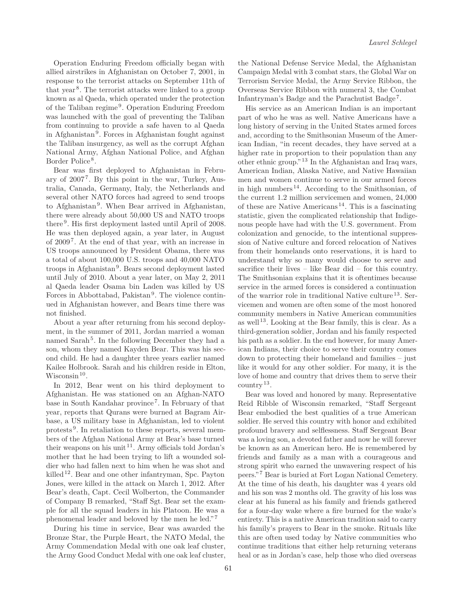Operation Enduring Freedom officially began with allied airstrikes in Afghanistan on October 7, 2001, in response to the terrorist attacks on September 11th of that year<sup>8</sup>. The terrorist attacks were linked to a group known as al Qaeda, which operated under the protection of the Taliban regime<sup>9</sup>. Operation Enduring Freedom was launched with the goal of preventing the Taliban from continuing to provide a safe haven to al Qaeda in Afghanistan<sup>9</sup>. Forces in Afghanistan fought against the Taliban insurgency, as well as the corrupt Afghan National Army, Afghan National Police, and Afghan Border Police<sup>8</sup>.

Bear was first deployed to Afghanistan in February of  $2007<sup>7</sup>$ . By this point in the war, Turkey, Australia, Canada, Germany, Italy, the Netherlands and several other NATO forces had agreed to send troops to Afghanistan<sup>9</sup>. When Bear arrived in Afghanistan, there were already about 50,000 US and NATO troops there<sup>9</sup>. His first deployment lasted until April of 2008. He was then deployed again, a year later, in August of 2009<sup>7</sup>. At the end of that year, with an increase in US troops announced by President Obama, there was a total of about 100,000 U.S. troops and 40,000 NATO troops in Afghanistan<sup>9</sup>. Bears second deployment lasted until July of 2010. About a year later, on May 2, 2011 al Qaeda leader Osama bin Laden was killed by US Forces in Abbottabad, Pakistan<sup>9</sup>. The violence continued in Afghanistan however, and Bears time there was not finished.

About a year after returning from his second deployment, in the summer of 2011, Jordan married a woman named Sarah<sup>5</sup>. In the following December they had a son, whom they named Kayden Bear. This was his second child. He had a daughter three years earlier named Kailee Holbrook. Sarah and his children reside in Elton, Wisconsin<sup>10</sup>.

In 2012, Bear went on his third deployment to Afghanistan. He was stationed on an Afghan-NATO base in South Kandahar province7. In February of that year, reports that Qurans were burned at Bagram Airbase, a US military base in Afghanistan, led to violent protests <sup>9</sup>. In retaliation to these reports, several members of the Afghan National Army at Bear's base turned their weapons on his unit<sup>11</sup>. Army officials told Jordan's mother that he had been trying to lift a wounded soldier who had fallen next to him when he was shot and killed<sup>12</sup>. Bear and one other infantryman, Spc. Payton Jones, were killed in the attack on March 1, 2012. After Bear's death, Capt. Cecil Wolberton, the Commander of Company B remarked, "Staff Sgt. Bear set the example for all the squad leaders in his Platoon. He was a phenomenal leader and beloved by the men he led."<sup>7</sup>

During his time in service, Bear was awarded the Bronze Star, the Purple Heart, the NATO Medal, the Army Commendation Medal with one oak leaf cluster, the Army Good Conduct Medal with one oak leaf cluster, the National Defense Service Medal, the Afghanistan Campaign Medal with 3 combat stars, the Global War on Terrorism Service Medal, the Army Service Ribbon, the Overseas Service Ribbon with numeral 3, the Combat Infantryman's Badge and the Parachutist Badge<sup>7</sup>.

His service as an American Indian is an important part of who he was as well. Native Americans have a long history of serving in the United States armed forces and, according to the Smithsonian Museum of the American Indian, "in recent decades, they have served at a higher rate in proportion to their population than any other ethnic group."<sup>13</sup> In the Afghanistan and Iraq wars, American Indian, Alaska Native, and Native Hawaiian men and women continue to serve in our armed forces in high numbers<sup>14</sup>. According to the Smithsonian, of the current 1.2 million servicemen and women, 24,000 of these are Native Americans<sup>14</sup>. This is a fascinating statistic, given the complicated relationship that Indigenous people have had with the U.S. government. From colonization and genocide, to the intentional suppression of Native culture and forced relocation of Natives from their homelands onto reservations, it is hard to understand why so many would choose to serve and sacrifice their lives – like Bear did – for this country. The Smithsonian explains that it is oftentimes because service in the armed forces is considered a continuation of the warrior role in traditional Native culture<sup>13</sup>. Servicemen and women are often some of the most honored community members in Native American communities as well <sup>13</sup>. Looking at the Bear family, this is clear. As a third-generation soldier, Jordan and his family respected his path as a soldier. In the end however, for many American Indians, their choice to serve their country comes down to protecting their homeland and families – just like it would for any other soldier. For many, it is the love of home and country that drives them to serve their  $country<sup>13</sup>$ .

Bear was loved and honored by many. Representative Reid Ribble of Wisconsin remarked, "Staff Sergeant Bear embodied the best qualities of a true American soldier. He served this country with honor and exhibited profound bravery and selflessness. Staff Sergeant Bear was a loving son, a devoted father and now he will forever be known as an American hero. He is remembered by friends and family as a man with a courageous and strong spirit who earned the unwavering respect of his peers." <sup>7</sup> Bear is buried at Fort Logan National Cemetery. At the time of his death, his daughter was 4 years old and his son was 2 months old. The gravity of his loss was clear at his funeral as his family and friends gathered for a four-day wake where a fire burned for the wake's entirety. This is a native American tradition said to carry his family's prayers to Bear in the smoke. Rituals like this are often used today by Native communities who continue traditions that either help returning veterans heal or as in Jordan's case, help those who died overseas